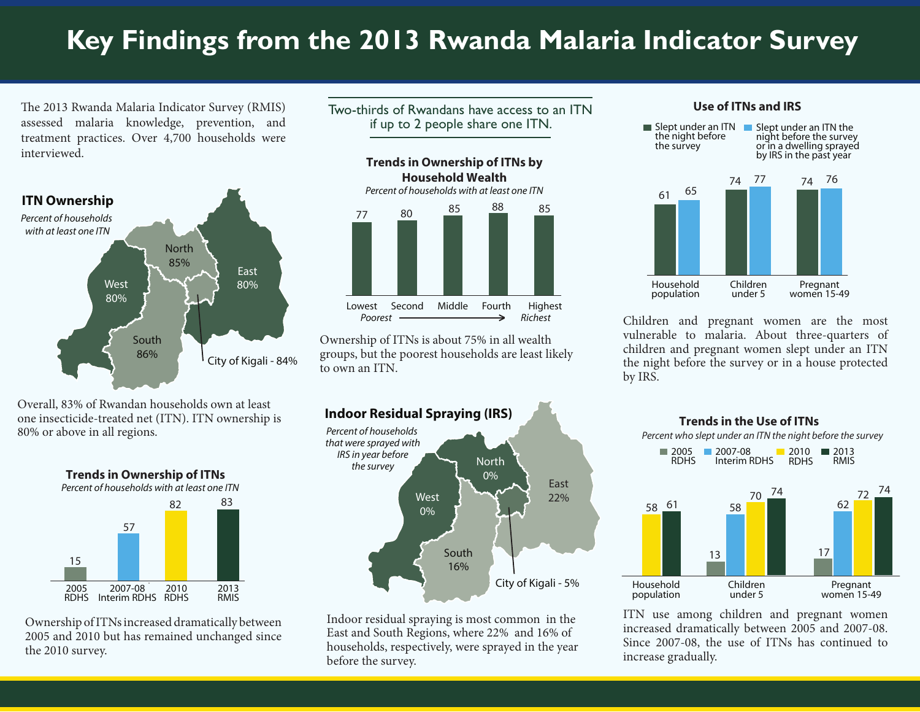# **Key Findings from the 2013 Rwanda Malaria Indicator Survey**

The 2013 Rwanda Malaria Indicator Survey (RMIS) assessed malaria knowledge, prevention, and treatment practices. Over 4,700 households were interviewed.



Overall, 83% of Rwandan households own at least one insecticide-treated net (ITN). ITN ownership is 80% or above in all regions.



Ownership of ITNs increased dramatically between 2005 and 2010 but has remained unchanged since the 2010 survey.

Two-thirds of Rwandans have access to an ITN if up to 2 people share one ITN.



Ownership of ITNs is about 75% in all wealth groups, but the poorest households are least likely to own an ITN.



Indoor residual spraying is most common in the East and South Regions, where 22% and 16% of households, respectively, were sprayed in the year before the survey.

#### **Use of ITNs and IRS**



Children and pregnant women are the most vulnerable to malaria. About three-quarters of children and pregnant women slept under an ITN the night before the survey or in a house protected by IRS.



ITN use among children and pregnant women increased dramatically between 2005 and 2007-08. Since 2007-08, the use of ITNs has continued to increase gradually.